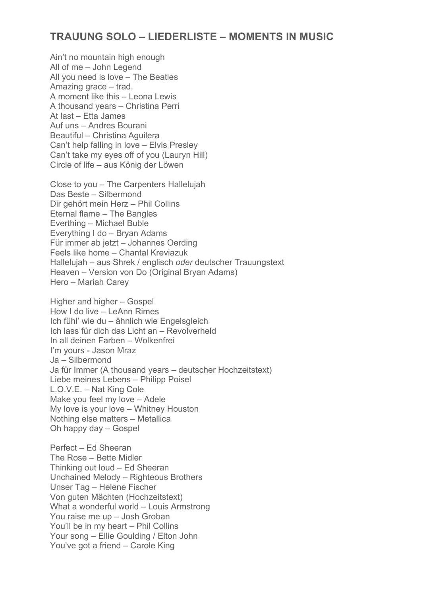## **TRAUUNG SOLO – LIEDERLISTE – MOMENTS IN MUSIC**

Ain't no mountain high enough All of me – John Legend All you need is love – The Beatles Amazing grace – trad. A moment like this – Leona Lewis A thousand years – Christina Perri At last – Etta James Auf uns – Andres Bourani Beautiful – Christina Aguilera Can't help falling in love – Elvis Presley Can't take my eyes off of you (Lauryn Hill) Circle of life – aus König der Löwen

Close to you – The Carpenters Hallelujah Das Beste – Silbermond Dir gehört mein Herz – Phil Collins Eternal flame – The Bangles Everthing – Michael Buble Everything I do – Bryan Adams Für immer ab jetzt – Johannes Oerding Feels like home – Chantal Kreviazuk Hallelujah – aus Shrek / englisch *oder* deutscher Trauungstext Heaven – Version von Do (Original Bryan Adams) Hero – Mariah Carey

Higher and higher – Gospel How I do live – LeAnn Rimes Ich fühl' wie du – ähnlich wie Engelsgleich Ich lass für dich das Licht an – Revolverheld In all deinen Farben – Wolkenfrei I'm yours - Jason Mraz Ja – Silbermond Ja für Immer (A thousand years – deutscher Hochzeitstext) Liebe meines Lebens – Philipp Poisel L.O.V.E. – Nat King Cole Make you feel my love – Adele My love is your love – Whitney Houston Nothing else matters – Metallica Oh happy day – Gospel

Perfect – Ed Sheeran The Rose – Bette Midler Thinking out loud – Ed Sheeran Unchained Melody – Righteous Brothers Unser Tag – Helene Fischer Von guten Mächten (Hochzeitstext) What a wonderful world – Louis Armstrong You raise me up – Josh Groban You'll be in my heart – Phil Collins Your song – Ellie Goulding / Elton John You've got a friend – Carole King